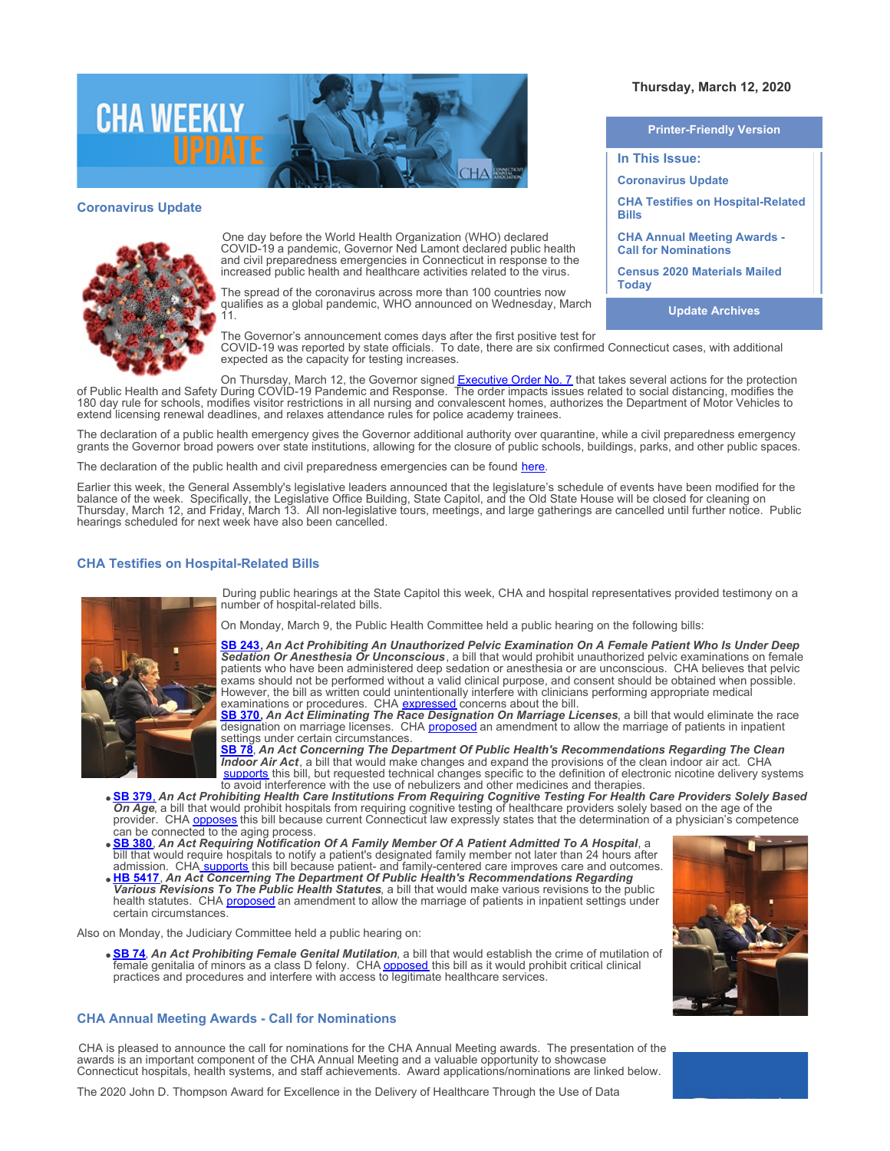

### **Coronavirus Update**



One day before the World Health Organization (WHO) declared COVID-19 a pandemic, Governor Ned Lamont declared public health and civil preparedness emergencies in Connecticut in response to the increased public health and healthcare activities related to the virus.

The spread of the coronavirus across more than 100 countries now qualifies as a global pandemic, WHO announced on Wednesday, March 11.

The Governor's announcement comes days after the first positive test for COVID-19 was reported by state officials. To date, there are six confirmed Connecticut cases, with additional expected as the capacity for testing increases.

On Thursday, March 12, the Governor signed [Executive Order No. 7](https://portal.ct.gov/-/media/Office-of-the-Governor/Executive-Orders/Lamont-Executive-Orders/Executive-Order-No-7.pdf?la=en) that takes several actions for the protection of Public Health and Safety During COVID-19 Pandemic and Response. The order impacts issues related to social distancing, modifies the 180 day rule for schools, modifies visitor restrictions in all nursing and convalescent homes, authorizes the Department of Motor Vehicles to extend licensing renewal deadlines, and relaxes attendance rules for police academy trainees.

The declaration of a public health emergency gives the Governor additional authority over quarantine, while a civil preparedness emergency grants the Governor broad powers over state institutions, allowing for the closure of public schools, buildings, parks, and other public spaces.

The declaration of the public health and civil preparedness emergencies can be found [here](https://portal.ct.gov/-/media/Office-of-the-Governor/News/20200310-declaration-of-civil-preparedness-and-public-health-emergency.pdf?la=en).

Earlier this week, the General Assembly's legislative leaders announced that the legislature's schedule of events have been modified for the balance of the week. Specifically, the Legislative Office Building, State Capitol, and the Old State House will be closed for cleaning on Thursday, March 12, and Friday, March 13. All non-legislative tours, meetings, and large gatherings are cancelled until further notice. Public hearings scheduled for next week have also been cancelled.

# **CHA Testifies on Hospital-Related Bills**



During public hearings at the State Capitol this week, CHA and hospital representatives provided testimony on a number of hospital-related bills.

On Monday, March 9, the Public Health Committee held a public hearing on the following bills:

**[SB 243](https://www.cga.ct.gov/asp/cgabillstatus/cgabillstatus.asp?selBillType=Bill&which_year=2020&bill_num=243),** *An Act Prohibiting An Unauthorized Pelvic Examination On A Female Patient Who Is Under Deep Sedation Or Anesthesia Or Unconscious*, a bill that would prohibit unauthorized pelvic examinations on female patients who have been administered deep sedation or anesthesia or are unconscious. CHA believes that pelvic exams should not be performed without a valid clinical purpose, and consent should be obtained when possible. However, the bill as written could unintentionally interfere with clinicians performing appropriate medical examinations or procedures. CHA **[expressed](https://www.cthosp.org/CHA/assets/File/advocacy/testimony/2020/FINAL%20SB%20243,%20An%20Act%20Prohibiting%20An%20Unauthorized%20Pelvic%20Examination%20On%20A%20Female%20Patient%20Who%20Is%20Under%20Deep%20Sedation%20Or%20Anesthesia.pdf)** concerns about the bill.

**[SB 370](https://www.cga.ct.gov/asp/cgabillstatus/cgabillstatus.asp?selBillType=Bill&which_year=2020&bill_num=370),** *An Act Eliminating The Race Designation On Marriage Licenses*, a bill that would eliminate the race designation on marriage licenses. CHA [proposed](https://www.cthosp.org/CHA/assets/File/advocacy/testimony/2020/FINAL%20SB%20370%20An%20Act%20Eliminating%20The%20Race%20Designation%20On%20Marriage%20Licenses.pdf) an amendment to allow the marriage of patients in inpatient settings under certain circumstances.

**[SB 78](https://www.cga.ct.gov/asp/cgabillstatus/cgabillstatus.asp?selBillType=Bill&which_year=2020&bill_num=78)**, *An Act Concerning The Department Of Public Health's Recommendations Regarding The Clean Indoor Air Act*, a bill that would make changes and expand the provisions of the clean indoor air act. CHA [supports](https://www.cthosp.org/CHA/assets/File/advocacy/testimony/2020/FINAL%20SB%2078,%20AAC%20The%20Department%20Of%20Public%20Health) this bill, but requested technical changes specific to the definition of electronic nicotine delivery systems to avoid interference with the use of nebulizers and other medicines and therapies.

- **[SB 379](https://www.cga.ct.gov/asp/cgabillstatus/cgabillstatus.asp?selBillType=Bill&which_year=2020&bill_num=379)**[,](https://www.cga.ct.gov/asp/cgabillstatus/cgabillstatus.asp?selBillType=Bill&which_year=2020&bill_num=379) *An Act Prohibiting Health Care Institutions From Requiring Cognitive Testing For Health Care Providers Solely Based* **SE 379, An Act Prohibiting Health Care institutions From Requiring Cognitive testing to the age of the age of the<br>On Age, a bill that would prohibit hospitals from requiring cognitive testing of healthcare providers solel** provider. CHA **[opposes](https://www.cthosp.org/CHA/assets/File/advocacy/testimony/2020/FINAL%20SB%20379,%20An%20Act%20Prohibiting%20Health%20Care%20Institutions%20From%20Requiring%20Cognitive%20Testing%20For%20Health%20Care%20Providers%20Solely%20Based%20On%20Age.pdf)** this bill because current Connecticut law expressly states that the determination of a physician's competence can be connected to the aging process.
- **[SB 380](https://www.cga.ct.gov/asp/cgabillstatus/cgabillstatus.asp?selBillType=Bill&which_year=2020&bill_num=380)**, *An Act Requiring Notification Of A Family Member Of A Patient Admitted To A Hospital*, a bill that would require hospitals to notify a patient's designated family member not later than 24 hours after admission. CHA [supports](https://www.cthosp.org/CHA/assets/File/advocacy/testimony/2020/FINAL%20SB%20380,%20An%20Act%20Requiring%20Notification%20Of%20A%20Family%20Member%20Of%20A%20Patient%20Admitted%20To%20A%20Hospital.pdf) this bill because patient- and family-centered care improves care and outcomes.
- **[HB 5417](https://www.cga.ct.gov/asp/cgabillstatus/cgabillstatus.asp?selBillType=Bill&which_year=2020&bill_num=5417)**, *An Act Concerning The Department Of Public Health's Recommendations Regarding Various Revisions To The Public Health Statutes*, a bill that would make various revisions to the public health statutes. CHA [proposed](https://www.cthosp.org/CHA/assets/File/advocacy/testimony/2020/FINAL%20HB%205417,%20AAC%20The%20Department%20Of%20Public%20Healths%20Recommendations%20Regarding%20Various%20Revisions%20To%20The%20Public%20Health%20Statutes.pdf) an amendment to allow the marriage of patients in inpatient settings under certain circumstances.

Also on Monday, the Judiciary Committee held a public hearing on:

**[SB 74](https://www.cga.ct.gov/asp/cgabillstatus/cgabillstatus.asp?selBillType=Bill&which_year=2020&bill_num=74)**, *An Act Prohibiting Female Genital Mutilation*, a bill that would establish the crime of mutilation of female genitalia of minors as a class D felony. CHA <u>opposed</u> this bill as it would prohibit critical clinical practices and procedures and interfere with access to legitimate healthcare services.

# **CHA Annual Meeting Awards - Call for Nominations**

CHA is pleased to announce the call for nominations for the CHA Annual Meeting awards. The presentation of the awards is an important component of the CHA Annual Meeting and a valuable opportunity to showcase Connecticut hospitals, health systems, and staff achievements. Award applications/nominations are linked below.



### **Thursday, March 12, 2020**

| <b>Printer-Friendly Version</b>                                   |
|-------------------------------------------------------------------|
| In This Issue:                                                    |
| <b>Coronavirus Update</b>                                         |
| <b>CHA Testifies on Hospital-Related</b><br>Bills                 |
| <b>CHA Annual Meeting Awards -</b><br><b>Call for Nominations</b> |
| <b>Census 2020 Materials Mailed</b><br><b>Today</b>               |
| <b>Update Archives</b>                                            |